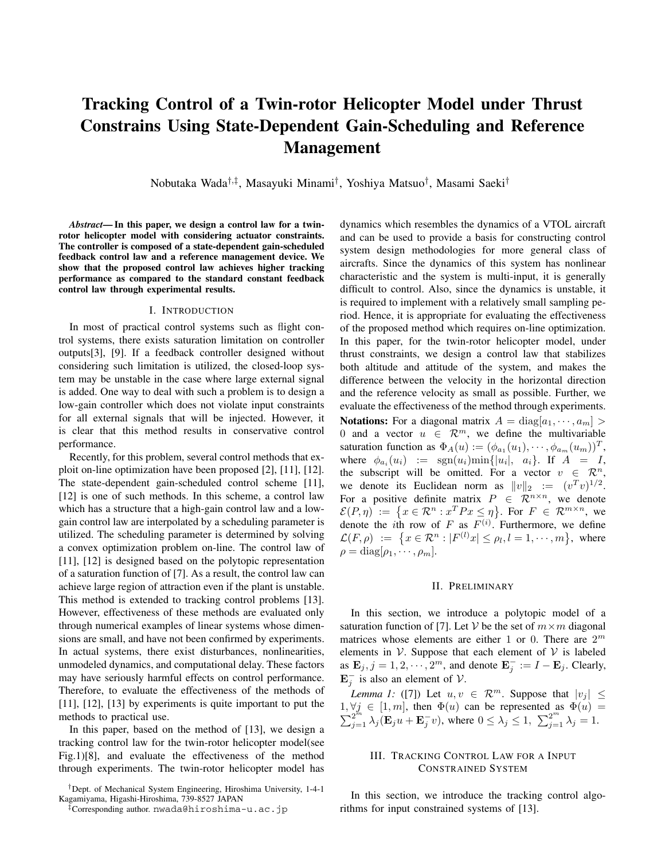# **Tracking Control of a Twin-rotor Helicopter Model under Thrust Constrains Using State-Dependent Gain-Scheduling and Reference Management**

Nobutaka Wada*†*,*‡*, Masayuki Minami*†*, Yoshiya Matsuo*†*, Masami Saeki*†*

*Abstract***— In this paper, we design a control law for a twinrotor helicopter model with considering actuator constraints. The controller is composed of a state-dependent gain-scheduled feedback control law and a reference management device. We show that the proposed control law achieves higher tracking performance as compared to the standard constant feedback control law through experimental results.**

#### I. INTRODUCTION

In most of practical control systems such as flight control systems, there exists saturation limitation on controller outputs[3], [9]. If a feedback controller designed without considering such limitation is utilized, the closed-loop system may be unstable in the case where large external signal is added. One way to deal with such a problem is to design a low-gain controller which does not violate input constraints for all external signals that will be injected. However, it is clear that this method results in conservative control performance.

Recently, for this problem, several control methods that exploit on-line optimization have been proposed [2], [11], [12]. The state-dependent gain-scheduled control scheme [11], [12] is one of such methods. In this scheme, a control law which has a structure that a high-gain control law and a lowgain control law are interpolated by a scheduling parameter is utilized. The scheduling parameter is determined by solving a convex optimization problem on-line. The control law of [11], [12] is designed based on the polytopic representation of a saturation function of [7]. As a result, the control law can achieve large region of attraction even if the plant is unstable. This method is extended to tracking control problems [13]. However, effectiveness of these methods are evaluated only through numerical examples of linear systems whose dimensions are small, and have not been confirmed by experiments. In actual systems, there exist disturbances, nonlinearities, unmodeled dynamics, and computational delay. These factors may have seriously harmful effects on control performance. Therefore, to evaluate the effectiveness of the methods of [11], [12], [13] by experiments is quite important to put the methods to practical use.

In this paper, based on the method of [13], we design a tracking control law for the twin-rotor helicopter model(see Fig.1)[8], and evaluate the effectiveness of the method through experiments. The twin-rotor helicopter model has dynamics which resembles the dynamics of a VTOL aircraft and can be used to provide a basis for constructing control system design methodologies for more general class of aircrafts. Since the dynamics of this system has nonlinear characteristic and the system is multi-input, it is generally difficult to control. Also, since the dynamics is unstable, it is required to implement with a relatively small sampling period. Hence, it is appropriate for evaluating the effectiveness of the proposed method which requires on-line optimization. In this paper, for the twin-rotor helicopter model, under thrust constraints, we design a control law that stabilizes both altitude and attitude of the system, and makes the difference between the velocity in the horizontal direction and the reference velocity as small as possible. Further, we evaluate the effectiveness of the method through experiments.

**Notations:** For a diagonal matrix  $A = \text{diag}[a_1, \dots, a_m] >$ 0 and a vector  $u \in \mathbb{R}^m$ , we define the multivariable saturation function as  $\Phi_A(u) := (\phi_{a_1}(u_1), \cdots, \phi_{a_m}(u_m))^T$ , where  $\phi_{a_i}(u_i) := \text{sgn}(u_i) \min\{|u_i|, a_i\}$ . If  $A = I$ , the subscript will be omitted. For a vector  $v \in \mathbb{R}^n$ , we denote its Euclidean norm as  $||v||_2 := (v^T v)^{1/2}$ . For a positive definite matrix  $P \in \mathbb{R}^{n \times n}$ , we denote  $\mathcal{E}(P,\eta) := \{x \in \mathcal{R}^n : x^T P x \leq \eta\}$ . For  $F \in \mathcal{R}^{m \times n}$ , we denote the *i*th row of F as  $F^{(i)}$ . Furthermore, we define  $\mathcal{L}(F,\rho) := \{x \in \mathcal{R}^n : |F^{(l)}x| \le \rho_l, l = 1,\cdots,m\},\,$  where  $\rho = \text{diag}[\rho_1, \cdots, \rho_m].$ 

#### II. PRELIMINARY

In this section, we introduce a polytopic model of a saturation function of [7]. Let V be the set of  $m \times m$  diagonal matrices whose elements are either 1 or 0. There are  $2^m$ elements in  $V$ . Suppose that each element of  $V$  is labeled as  $\mathbf{E}_j, j = 1, 2, \dots, 2^m$ , and denote  $\mathbf{E}_j^- := I - \mathbf{E}_j$ . Clearly,  $\mathbf{E}_j^-$  is also an element of  $\mathcal{V}$ .

*Lemma 1:* ([7]) Let  $u, v \in \mathbb{R}^m$ . Suppose that  $|v_j| \leq$ 1,  $\forall j \in [1, m]$ , then  $\Phi(u)$  can be represented as  $\Phi(u) = \sum_{j=1}^{2^m} \lambda_j (\mathbf{E}_j u + \mathbf{E}_j^- v)$ , where  $0 \le \lambda_j \le 1$ ,  $\sum_{j=1}^{2^m} \lambda_j = 1$ .

## III. TRACKING CONTROL LAW FOR A INPUT CONSTRAINED SYSTEM

In this section, we introduce the tracking control algorithms for input constrained systems of [13].

*<sup>†</sup>*Dept. of Mechanical System Engineering, Hiroshima University, 1-4-1 Kagamiyama, Higashi-Hiroshima, 739-8527 JAPAN

*<sup>‡</sup>*Corresponding author. nwada@hiroshima-u.ac.jp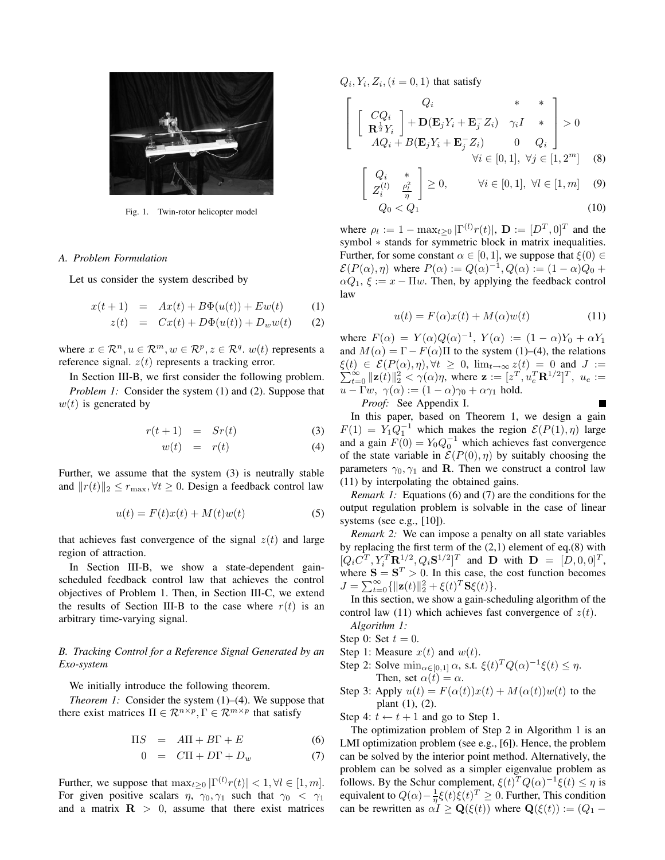

Fig. 1. Twin-rotor helicopter model

#### *A. Problem Formulation*

Let us consider the system described by

$$
x(t+1) = Ax(t) + B\Phi(u(t)) + E w(t)
$$
 (1)

$$
z(t) = Cx(t) + D\Phi(u(t)) + D_w w(t) \qquad (2)
$$

where  $x \in \mathcal{R}^n, u \in \mathcal{R}^m, w \in \mathcal{R}^p, z \in \mathcal{R}^q, w(t)$  represents a reference signal.  $z(t)$  represents a tracking error.

In Section III-B, we first consider the following problem. *Problem 1:* Consider the system (1) and (2). Suppose that  $w(t)$  is generated by

$$
r(t+1) = Sr(t) \tag{3}
$$

$$
w(t) = r(t) \tag{4}
$$

Further, we assume that the system (3) is neutrally stable and  $||r(t)||_2 \leq r_{\text{max}}$ ,  $\forall t \geq 0$ . Design a feedback control law

$$
u(t) = F(t)x(t) + M(t)w(t)
$$
\n(5)

that achieves fast convergence of the signal  $z(t)$  and large region of attraction.

In Section III-B, we show a state-dependent gainscheduled feedback control law that achieves the control objectives of Problem 1. Then, in Section III-C, we extend the results of Section III-B to the case where  $r(t)$  is an arbitrary time-varying signal.

## *B. Tracking Control for a Reference Signal Generated by an Exo-system*

We initially introduce the following theorem.

*Theorem 1:* Consider the system  $(1)$ – $(4)$ . We suppose that there exist matrices  $\Pi \in \mathcal{R}^{n \times p}, \Gamma \in \mathcal{R}^{m \times p}$  that satisfy

$$
\Pi S = A\Pi + B\Gamma + E \tag{6}
$$

$$
0 = C\Pi + D\Gamma + D_w \tag{7}
$$

Further, we suppose that  $\max_{t>0} |\Gamma^{(l)}r(t)| < 1, \forall l \in [1, m].$ For given positive scalars  $\eta$ ,  $\gamma_0$ ,  $\gamma_1$  such that  $\gamma_0 < \gamma_1$ and a matrix  $\mathbf{R} > 0$ , assume that there exist matrices

 $Q_i, Y_i, Z_i, (i = 0, 1)$  that satisfy

$$
\begin{bmatrix}\nQ_i & * & * \\
\mathbf{R}^{\frac{1}{2}} Y_i\n\end{bmatrix} + \mathbf{D} (\mathbf{E}_j Y_i + \mathbf{E}_j^- Z_i) \gamma_i I & * \\
AQ_i + B(\mathbf{E}_j Y_i + \mathbf{E}_j^- Z_i) & 0 & Q_i\n\end{bmatrix} > 0
$$
\n
$$
\forall i \in [0, 1], \forall j \in [1, 2^m] \quad (8)
$$
\n
$$
\begin{bmatrix}\nQ_i & * \\
Z_i^{(l)} & \frac{\rho_i^2}{\eta}\n\end{bmatrix} \geq 0, \quad \forall i \in [0, 1], \forall l \in [1, m] \quad (9)
$$

$$
Q_0 < Q_1 \tag{10}
$$

where  $\rho_l := 1 - \max_{t \geq 0} |\Gamma^{(l)} r(t)|$ ,  $\mathbf{D} := [D^T, 0]^T$  and the symbol  $*$  stands for symmetric block in matrix inequalities. Further, for some constant  $\alpha \in [0, 1]$ , we suppose that  $\xi(0) \in$  $\mathcal{E}(P(\alpha), \eta)$  where  $P(\alpha) := Q(\alpha)^{-1}$ ,  $Q(\alpha) := (1 - \alpha)Q_0 +$  $\alpha Q_1$ ,  $\xi := x - \Pi w$ . Then, by applying the feedback control law

$$
u(t) = F(\alpha)x(t) + M(\alpha)w(t)
$$
\n(11)

where  $F(\alpha) = Y(\alpha)Q(\alpha)^{-1}$ ,  $Y(\alpha) := (1 - \alpha)Y_0 + \alpha Y_1$ and  $M(\alpha) = \Gamma - F(\alpha)\Pi$  to the system (1)–(4), the relations  $\xi(t) \in \mathcal{E}(P(\alpha), \eta), \forall t \geq 0$ ,  $\lim_{t \to \infty} z(t) = 0$  and  $J :=$  $\xi(t) \in \mathcal{E}(P(\alpha), \eta), \forall t \geq 0, \lim_{t \to \infty} z(t) = 0 \text{ and } J := \sum_{t=0}^{\infty} ||\mathbf{z}(t)||_2^2 < \gamma(\alpha)\eta$ , where  $\mathbf{z} := [z^T, u_e^T \mathbf{R}^{1/2}]^T$ ,  $u_e :=$  $u - \Gamma w$ ,  $\gamma(\alpha) := (1 - \alpha)\gamma_0 + \alpha\gamma_1$  hold.

*Proof:* See Appendix I.

In this paper, based on Theorem 1, we design a gain  $F(1) = Y_1 Q_1^{-1}$  which makes the region  $\mathcal{E}(P(1), \eta)$  large and a gain  $F(0) = Y_0 Q_0^{-1}$  which achieves fast convergence of the state variable in  $\mathcal{E}(P(0), \eta)$  by suitably choosing the parameters  $\gamma_0, \gamma_1$  and **R**. Then we construct a control law (11) by interpolating the obtained gains.

*Remark 1:* Equations (6) and (7) are the conditions for the output regulation problem is solvable in the case of linear systems (see e.g.,  $[10]$ ).

*Remark 2:* We can impose a penalty on all state variables by replacing the first term of the (2,1) element of eq.(8) with  $[Q_i C^T, Y_i^T \mathbf{R}^{1/2}, Q_i \mathbf{S}^{1/2}]^T$  and **D** with  $\mathbf{D} = [D, 0, 0]^T$ , where  $S = S^T > 0$ . In this case, the cost function becomes  $J = \sum_{t=0}^{\infty} {\{\Vert \mathbf{z}(t) \Vert_2^2 + \xi(t)^T \mathbf{S} \xi(t) \}}.$ 

In this section, we show a gain-scheduling algorithm of the control law (11) which achieves fast convergence of  $z(t)$ .

*Algorithm 1:*

- Step 0: Set  $t = 0$ .
- Step 1: Measure  $x(t)$  and  $w(t)$ .
- Step 2: Solve  $\min_{\alpha \in [0,1]} \alpha$ , s.t.  $\xi(t)^T Q(\alpha)^{-1} \xi(t) \leq \eta$ . Then, set  $\alpha(t) = \alpha$ .
- Step 3: Apply  $u(t) = F(\alpha(t))x(t) + M(\alpha(t))w(t)$  to the plant (1), (2).

Step 4:  $t \leftarrow t + 1$  and go to Step 1.

The optimization problem of Step 2 in Algorithm 1 is an LMI optimization problem (see e.g., [6]). Hence, the problem can be solved by the interior point method. Alternatively, the problem can be solved as a simpler eigenvalue problem as follows. By the Schur complement,  $\xi(t)^T Q(\alpha)^{-1} \xi(t) \leq \eta$  is equivalent to  $Q(\alpha) - \frac{1}{\eta} \xi(t) \xi(t)^T \geq 0$ . Further, This condition can be rewritten as  $\alpha I \ge \mathbf{Q}(\xi(t))$  where  $\mathbf{Q}(\xi(t)) := (Q_1 -$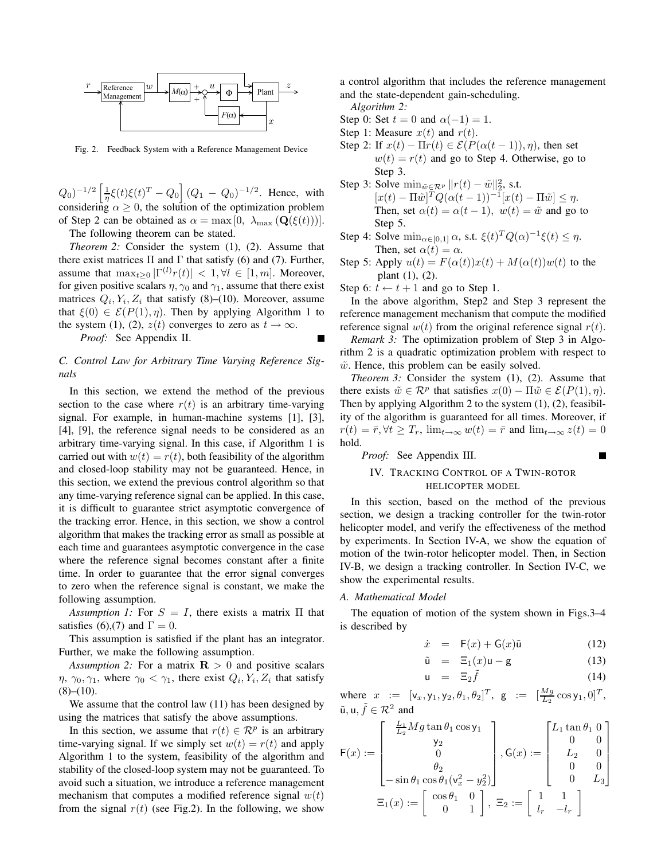

Fig. 2. Feedback System with a Reference Management Device

 $(Q_0)^{-1/2} \left[ \frac{1}{\eta} \xi(t) \xi(t)^T - Q_0 \right] (Q_1 - Q_0)^{-1/2}$ . Hence, with considering  $\alpha \geq 0$ , the solution of the optimization problem of Step 2 can be obtained as  $\alpha = \max[0, \lambda_{\max}(\mathbf{Q}(\xi(t)))]$ .

The following theorem can be stated.

*Theorem 2:* Consider the system (1), (2). Assume that there exist matrices  $\Pi$  and  $\Gamma$  that satisfy (6) and (7). Further, assume that  $\max_{t>0} |\Gamma^{(l)}r(t)| < 1, \forall l \in [1, m]$ . Moreover, for given positive scalars  $\eta$ ,  $\gamma_0$  and  $\gamma_1$ , assume that there exist matrices  $Q_i, Y_i, Z_i$  that satisfy (8)–(10). Moreover, assume that  $\xi(0) \in \mathcal{E}(P(1), \eta)$ . Then by applying Algorithm 1 to the system (1), (2),  $z(t)$  converges to zero as  $t \to \infty$ .

*Proof:* See Appendix II.

## *C. Control Law for Arbitrary Time Varying Reference Signals*

In this section, we extend the method of the previous section to the case where  $r(t)$  is an arbitrary time-varying signal. For example, in human-machine systems [1], [3], [4], [9], the reference signal needs to be considered as an arbitrary time-varying signal. In this case, if Algorithm 1 is carried out with  $w(t) = r(t)$ , both feasibility of the algorithm and closed-loop stability may not be guaranteed. Hence, in this section, we extend the previous control algorithm so that any time-varying reference signal can be applied. In this case, it is difficult to guarantee strict asymptotic convergence of the tracking error. Hence, in this section, we show a control algorithm that makes the tracking error as small as possible at each time and guarantees asymptotic convergence in the case where the reference signal becomes constant after a finite time. In order to guarantee that the error signal converges to zero when the reference signal is constant, we make the following assumption.

*Assumption 1:* For  $S = I$ , there exists a matrix  $\Pi$  that satisfies (6),(7) and  $\Gamma=0$ .

This assumption is satisfied if the plant has an integrator. Further, we make the following assumption.

*Assumption 2:* For a matrix  $\mathbf{R} > 0$  and positive scalars  $\eta$ ,  $\gamma_0$ ,  $\gamma_1$ , where  $\gamma_0 < \gamma_1$ , there exist  $Q_i$ ,  $Y_i$ ,  $Z_i$  that satisfy  $(8)–(10)$ .

We assume that the control law  $(11)$  has been designed by using the matrices that satisfy the above assumptions.

In this section, we assume that  $r(t) \in \mathcal{R}^p$  is an arbitrary time-varying signal. If we simply set  $w(t) = r(t)$  and apply Algorithm 1 to the system, feasibility of the algorithm and stability of the closed-loop system may not be guaranteed. To avoid such a situation, we introduce a reference management mechanism that computes a modified reference signal  $w(t)$ from the signal  $r(t)$  (see Fig.2). In the following, we show

a control algorithm that includes the reference management and the state-dependent gain-scheduling.

*Algorithm 2:*

Step 0: Set  $t = 0$  and  $\alpha(-1) = 1$ .

- Step 1: Measure  $x(t)$  and  $r(t)$ .
- Step 2: If  $x(t) \prod r(t) \in \mathcal{E}(P(\alpha(t-1)), \eta)$ , then set  $w(t) = r(t)$  and go to Step 4. Otherwise, go to Step 3.
- Step 3: Solve  $\min_{\tilde{w} \in \mathcal{R}^p} ||r(t) \tilde{w}||_2^2$ , s.t.  $[x(t) - \Pi \tilde{w}]^T Q (\alpha(t-1))^{-1} [x(t) - \Pi \tilde{w}] \leq \eta.$ Then, set  $\alpha(t) = \alpha(t-1)$ ,  $w(t) = \tilde{w}$  and go to Step 5.
- Step 4: Solve  $\min_{\alpha \in [0,1]} \alpha$ , s.t.  $\xi(t)^T Q(\alpha)^{-1} \xi(t) \leq \eta$ . Then, set  $\alpha(t) = \alpha$ .
- Step 5: Apply  $u(t) = F(\alpha(t))x(t) + M(\alpha(t))w(t)$  to the plant (1), (2).

Step 6:  $t \leftarrow t + 1$  and go to Step 1.

In the above algorithm, Step2 and Step 3 represent the reference management mechanism that compute the modified reference signal  $w(t)$  from the original reference signal  $r(t)$ .

*Remark 3:* The optimization problem of Step 3 in Algorithm 2 is a quadratic optimization problem with respect to  $\tilde{w}$ . Hence, this problem can be easily solved.

*Theorem 3:* Consider the system (1), (2). Assume that there exists  $\tilde{w} \in \mathcal{R}^p$  that satisfies  $x(0) - \Pi \tilde{w} \in \mathcal{E}(P(1), \eta)$ . Then by applying Algorithm 2 to the system (1), (2), feasibility of the algorithm is guaranteed for all times. Moreover, if  $r(t)=\bar{r}, \forall t \geq T_r$ ,  $\lim_{t\to\infty} w(t)=\bar{r}$  and  $\lim_{t\to\infty} z(t)=0$ hold.

*Proof:* See Appendix III.

## IV. TRACKING CONTROL OF A TWIN-ROTOR HELICOPTER MODEL

In this section, based on the method of the previous section, we design a tracking controller for the twin-rotor helicopter model, and verify the effectiveness of the method by experiments. In Section IV-A, we show the equation of motion of the twin-rotor helicopter model. Then, in Section IV-B, we design a tracking controller. In Section IV-C, we show the experimental results.

#### *A. Mathematical Model*

The equation of motion of the system shown in Figs.3–4 is described by

$$
\dot{x} = \mathsf{F}(x) + \mathsf{G}(x)\tilde{\mathsf{u}} \tag{12}
$$
\n
$$
\tilde{z} = \mathsf{F}(x) \tag{13}
$$

$$
\tilde{\mathbf{u}} = \Xi_1(x)\mathbf{u} - \mathbf{g} \tag{13}
$$

$$
\mathbf{u} = \Xi_2 \tilde{f} \tag{14}
$$

where  $x := [v_x, y_1, y_2, \theta_1, \theta_2]^T$ ,  $g := [\frac{Mg}{L_2} \cos y_1, 0]^T$ ,  $\tilde{u}$ ,  $u, \tilde{f} \in \mathcal{R}^2$  and

$$
\mathsf{F}(x) := \begin{bmatrix} \frac{L_1}{L_2} Mg \tan \theta_1 \cos \mathsf{y}_1 \\ \mathsf{y}_2 \\ 0 \\ \theta_2 \\ -\sin \theta_1 \cos \theta_1 (\mathsf{v}_x^2 - y_2^2) \end{bmatrix}, \mathsf{G}(x) := \begin{bmatrix} L_1 \tan \theta_1 & 0 \\ 0 & 0 \\ L_2 & 0 \\ 0 & 0 \\ 0 & L_3 \end{bmatrix}
$$

$$
\Xi_1(x) := \begin{bmatrix} \cos \theta_1 & 0 \\ 0 & 1 \end{bmatrix}, \ \Xi_2 := \begin{bmatrix} 1 & 1 \\ l_r & -l_r \end{bmatrix}
$$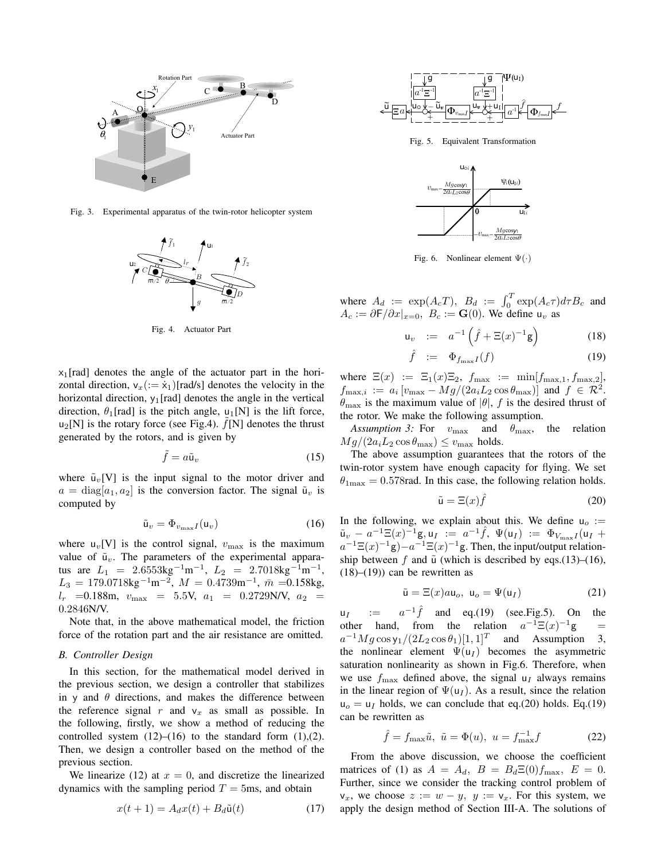

Fig. 3. Experimental apparatus of the twin-rotor helicopter system



Fig. 4. Actuator Part

 $x_1$ [rad] denotes the angle of the actuator part in the horizontal direction,  $v_x(:= \dot{x}_1)[rad/s]$  denotes the velocity in the horizontal direction,  $y_1$ [rad] denotes the angle in the vertical direction,  $\theta_1$ [rad] is the pitch angle, u<sub>1</sub>[N] is the lift force,  $u_2[N]$  is the rotary force (see Fig.4).  $f[N]$  denotes the thrust generated by the rotors, and is given by

$$
\tilde{f} = a\tilde{u}_v \tag{15}
$$

where  $\tilde{u}_v[V]$  is the input signal to the motor driver and  $a = \text{diag}[a_1, a_2]$  is the conversion factor. The signal  $\tilde{u}_v$  is computed by

$$
\tilde{\mathbf{u}}_v = \Phi_{v_{\text{max}}I}(\mathbf{u}_v) \tag{16}
$$

where  $u_v[V]$  is the control signal,  $v_{\text{max}}$  is the maximum value of  $\tilde{u}_v$ . The parameters of the experimental apparatus are  $L_1 = 2.6553 \text{kg}^{-1} \text{m}^{-1}$ ,  $L_2 = 2.7018 \text{kg}^{-1} \text{m}^{-1}$ ,  $L_3 = 179.0718 \text{kg}^{-1}\text{m}^{-2}$ ,  $M = 0.4739 \text{m}^{-1}$ ,  $\bar{m} = 0.158 \text{kg}$ ,  $l_r$  =0.188m,  $v_{\text{max}}$  = 5.5V,  $a_1$  = 0.2729N/V,  $a_2$  = 0.2846N/V.

Note that, in the above mathematical model, the friction force of the rotation part and the air resistance are omitted.

#### *B. Controller Design*

In this section, for the mathematical model derived in the previous section, we design a controller that stabilizes in y and  $\theta$  directions, and makes the difference between the reference signal r and  $v_x$  as small as possible. In the following, firstly, we show a method of reducing the controlled system  $(12)$ – $(16)$  to the standard form  $(1)$ , $(2)$ . Then, we design a controller based on the method of the previous section.

We linearize (12) at  $x = 0$ , and discretize the linearized dynamics with the sampling period  $T = 5$ ms, and obtain

$$
x(t+1) = A_d x(t) + B_d \tilde{u}(t)
$$
 (17)



Fig. 5. Equivalent Transformation



Fig. 6. Nonlinear element Ψ(*·*)

where  $A_d := \exp(A_c T)$ ,  $B_d := \int_0^T \exp(A_c \tau) d\tau B_c$  and  $A_c := \partial \mathsf{F}/\partial x|_{x=0}, B_c := \mathbf{G}(0)$ . We define  $\mathsf{u}_v$  as

$$
\mathsf{u}_v := a^{-1} \left( \hat{f} + \Xi(x)^{-1} \mathsf{g} \right) \tag{18}
$$

$$
\hat{f} := \Phi_{f_{\max}I}(f) \tag{19}
$$

where  $\Xi(x) := \Xi_1(x)\Xi_2$ ,  $f_{\text{max}} := \min[f_{\text{max},1}, f_{\text{max},2}]$ ,  $f_{\text{max},i} := a_i \left[ v_{\text{max}} - Mg/(2a_i L_2 \cos \theta_{\text{max}}) \right]$  and  $f \in \mathcal{R}^2$ .  $\theta_{\text{max}}$  is the maximum value of  $|\theta|$ , f is the desired thrust of the rotor. We make the following assumption.

*Assumption 3:* For  $v_{\text{max}}$  and  $\theta_{\text{max}}$ , the relation  $Mg/(2a_iL_2\cos\theta_{\text{max}}) \le v_{\text{max}}$  holds.

The above assumption guarantees that the rotors of the twin-rotor system have enough capacity for flying. We set  $\theta_{1\text{max}} = 0.578$  rad. In this case, the following relation holds.

$$
\tilde{\mathbf{u}} = \Xi(x)\hat{f} \tag{20}
$$

In the following, we explain about this. We define  $u_0 :=$  $\tilde{u}_{v} - a^{-1} \Xi(x)^{-1} g$ ,  $u_{I} := a^{-1} \hat{f}$ ,  $\Psi(u_{I}) := \Phi_{V_{\text{max}} I}(u_{I} +$  $a^{-1}\Xi(x)^{-1}g$ ) $-a^{-1}\Xi(x)^{-1}g$ . Then, the input/output relationship between f and  $\tilde{u}$  (which is described by eqs.(13)–(16),  $(18)$ – $(19)$ ) can be rewritten as

$$
\tilde{\mathbf{u}} = \Xi(x) a \mathbf{u}_o, \ \mathbf{u}_o = \Psi(\mathbf{u}_I) \tag{21}
$$

 $u_I$  :=  $a^{-1}\hat{f}$  and eq.(19) (see. Fig. 5). On the other hand from the relation  $a^{-1}\Xi(r)^{-1}\sigma$  = other hand, from the relation  $a^{-1}\Xi(x)^{-1}g$  $a^{-1}Mg\cos{\frac{y_1}{2L_2}\cos\theta_1}[1,1]^T$  and Assumption the nonlinear element  $\Psi(\mathsf{u}_I)$  becomes the asymmetric saturation nonlinearity as shown in Fig.6. Therefore, when we use  $f_{\text{max}}$  defined above, the signal  $u_I$  always remains in the linear region of  $\Psi(\mathsf{u}_I)$ . As a result, since the relation  $u<sub>o</sub> = u<sub>I</sub>$  holds, we can conclude that eq.(20) holds. Eq.(19) can be rewritten as

$$
\hat{f} = f_{\text{max}} \tilde{u}, \ \tilde{u} = \Phi(u), \ u = f_{\text{max}}^{-1} f
$$
 (22)

From the above discussion, we choose the coefficient matrices of (1) as  $A = A_d$ ,  $B = B_d \Xi(0) f_{\text{max}}$ ,  $E = 0$ . Further, since we consider the tracking control problem of  $v_x$ , we choose  $z := w - y$ ,  $y := v_x$ . For this system, we apply the design method of Section III-A. The solutions of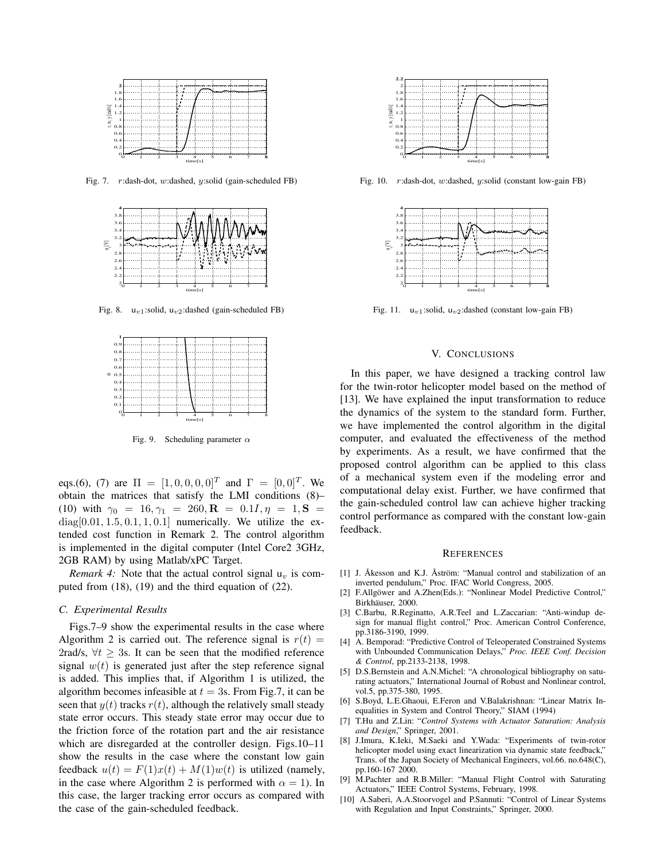

Fig. 7. r:dash-dot, w:dashed, y:solid (gain-scheduled FB)



Fig. 8. u*v*1:solid, u*v*2:dashed (gain-scheduled FB)



Fig. 9. Scheduling parameter  $\alpha$ 

eqs.(6), (7) are  $\Pi = [1, 0, 0, 0, 0]^T$  and  $\Gamma = [0, 0]^T$ . We obtain the matrices that satisfy the LMI conditions (8)– (10) with  $\gamma_0 = 16, \gamma_1 = 260, \mathbf{R} = 0.1I, \eta = 1, \mathbf{S} =$  $diag[0.01, 1.5, 0.1, 1, 0.1]$  numerically. We utilize the extended cost function in Remark 2. The control algorithm is implemented in the digital computer (Intel Core2 3GHz, 2GB RAM) by using Matlab/xPC Target.

*Remark 4:* Note that the actual control signal  $u_v$  is computed from (18), (19) and the third equation of (22).

#### *C. Experimental Results*

Figs.7–9 show the experimental results in the case where Algorithm 2 is carried out. The reference signal is  $r(t) =$ 2rad/s,  $\forall t > 3$ s. It can be seen that the modified reference signal  $w(t)$  is generated just after the step reference signal is added. This implies that, if Algorithm 1 is utilized, the algorithm becomes infeasible at  $t = 3s$ . From Fig.7, it can be seen that  $y(t)$  tracks  $r(t)$ , although the relatively small steady state error occurs. This steady state error may occur due to the friction force of the rotation part and the air resistance which are disregarded at the controller design. Figs.10–11 show the results in the case where the constant low gain feedback  $u(t) = F(1)x(t) + M(1)w(t)$  is utilized (namely, in the case where Algorithm 2 is performed with  $\alpha = 1$ ). In this case, the larger tracking error occurs as compared with the case of the gain-scheduled feedback.



Fig. 10. r:dash-dot, w:dashed, y:solid (constant low-gain FB)



Fig. 11. u*v*1:solid, u*v*2:dashed (constant low-gain FB)

#### V. CONCLUSIONS

In this paper, we have designed a tracking control law for the twin-rotor helicopter model based on the method of [13]. We have explained the input transformation to reduce the dynamics of the system to the standard form. Further, we have implemented the control algorithm in the digital computer, and evaluated the effectiveness of the method by experiments. As a result, we have confirmed that the proposed control algorithm can be applied to this class of a mechanical system even if the modeling error and computational delay exist. Further, we have confirmed that the gain-scheduled control law can achieve higher tracking control performance as compared with the constant low-gain feedback.

#### **REFERENCES**

- [1] J. Åkesson and K.J. Åström: "Manual control and stabilization of an inverted pendulum," Proc. IFAC World Congress, 2005.
- [2] F.Allgöwer and A.Zhen(Eds.): "Nonlinear Model Predictive Control," Birkhäuser, 2000.
- [3] C.Barbu, R.Reginatto, A.R.Teel and L.Zaccarian: "Anti-windup design for manual flight control," Proc. American Control Conference, pp.3186-3190, 1999.
- [4] A. Bemporad: "Predictive Control of Teleoperated Constrained Systems with Unbounded Communication Delays," *Proc. IEEE Conf. Decision & Control*, pp.2133-2138, 1998.
- [5] D.S.Bernstein and A.N.Michel: "A chronological bibliography on saturating actuators," International Journal of Robust and Nonlinear control, vol.5, pp.375-380, 1995.
- [6] S.Boyd, L.E.Ghaoui, E.Feron and V.Balakrishnan: "Linear Matrix Inequalities in System and Control Theory," SIAM (1994)
- [7] T.Hu and Z.Lin: "*Control Systems with Actuator Saturation: Analysis and Design*," Springer, 2001.
- [8] J.Imura, K.Ieki, M.Saeki and Y.Wada: "Experiments of twin-rotor helicopter model using exact linearization via dynamic state feedback," Trans. of the Japan Society of Mechanical Engineers, vol.66. no.648(C), pp.160-167 2000.
- [9] M.Pachter and R.B.Miller: "Manual Flight Control with Saturating Actuators," IEEE Control Systems, February, 1998.
- [10] A.Saberi, A.A.Stoorvogel and P.Sannuti: "Control of Linear Systems with Regulation and Input Constraints," Springer, 2000.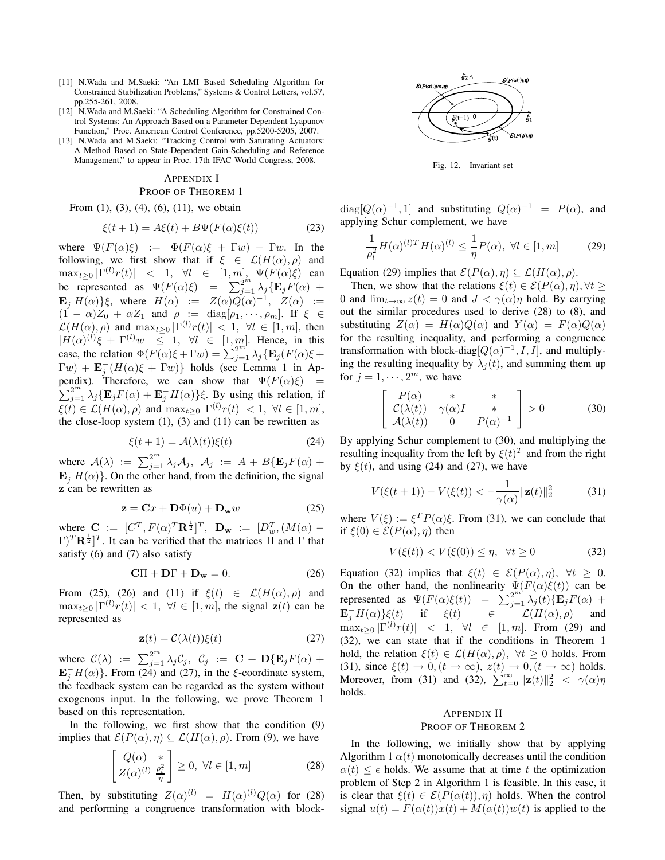- [11] N.Wada and M.Saeki: "An LMI Based Scheduling Algorithm for Constrained Stabilization Problems," Systems & Control Letters, vol.57, pp.255-261, 2008.
- [12] N.Wada and M.Saeki: "A Scheduling Algorithm for Constrained Control Systems: An Approach Based on a Parameter Dependent Lyapunov Function," Proc. American Control Conference, pp.5200-5205, 2007.
- [13] N.Wada and M.Saeki: "Tracking Control with Saturating Actuators: A Method Based on State-Dependent Gain-Scheduling and Reference Management," to appear in Proc. 17th IFAC World Congress, 2008.

#### APPENDIX I PROOF OF THEOREM 1

## From  $(1)$ ,  $(3)$ ,  $(4)$ ,  $(6)$ ,  $(11)$ , we obtain

 $\mathbf{f}$  + 1)  $\mathbf{f}(\mathbf{t})$  +  $\mathbf{D} \mathbf{F}(\mathbf{E}(\mathbf{t}))$ 

$$
\xi(t+1) = A\xi(t) + B\Psi(F(\alpha)\xi(t))\tag{23}
$$

where  $\Psi(F(\alpha)\xi) := \Phi(F(\alpha)\xi + \Gamma w) - \Gamma w$ . In the following, we first show that if  $\xi \in \mathcal{L}(H(\alpha), \rho)$  and  $\max_{t\geq 0} |\Gamma^{(l)} r(t)| \leq 1, \forall l \in [1, m]$ ,  $\Psi(F(\alpha)\xi)$  can be represented as  $\Psi(F(\alpha)\xi) = \sum_{j=1}^{2^m} \lambda_j {\mathbf{E}_j} F(\alpha) +$  $\mathbf{E}_{j}^{-}H(\alpha)\}$ ξ, where  $H(\alpha) := Z(\alpha)Q(\alpha)^{-1}$ ,  $Z(\alpha) :=$  $(1 - \alpha)Z_0 + \alpha Z_1$  and  $\rho := \text{diag}[\rho_1, \cdots, \rho_m]$ . If  $\xi \in$  $\mathcal{L}(H(\alpha), \rho)$  and  $\max_{t \geq 0} |\Gamma^{(l)}r(t)| < 1, \forall l \in [1, m]$ , then  $|H(\alpha)^{(l)}\xi + \Gamma^{(l)}w| \leq 1, \forall l \in [1,m].$  Hence, in this case, the relation  $\Phi(F(\alpha)\xi + \Gamma w) = \sum_{j=1}^{n} \lambda_j \{ \mathbf{E}_j(F(\alpha)\xi + \Gamma w) \}$  $\Gamma(w) + \mathbf{E}_{j}^{-}(H(\alpha)\xi + \Gamma w)$ } holds (see Lemma 1 in Appendix). Therefore, we can show that  $\Psi(F(\alpha)\xi)$  =  $\sum_{j=1}^{2^m} \lambda_j {\mathbf{E}_j F(\alpha) + \mathbf{E}_j^{-} H(\alpha)}$ ξ. By using this relation, if  $\xi(t) \in \mathcal{L}(H(\alpha), \rho)$  and  $\max_{t>0} |\Gamma^{(l)}r(t)| < 1, \ \forall l \in [1, m],$ the close-loop system  $(1)$ ,  $(3)$  and  $(11)$  can be rewritten as

$$
\xi(t+1) = \mathcal{A}(\lambda(t))\xi(t) \tag{24}
$$

where  $\mathcal{A}(\lambda) := \sum_{j=1}^{2^m} \lambda_j \mathcal{A}_j$ ,  $\mathcal{A}_j := A + B\{\mathbf{E}_j F(\alpha) + \alpha_j\}$  $\mathbf{E}_{j}^{-}H(\alpha)$ . On the other hand, from the definition, the signal **z** can be rewritten as

$$
\mathbf{z} = \mathbf{C}x + \mathbf{D}\Phi(u) + \mathbf{D}_{\mathbf{w}}w \tag{25}
$$

where  $\mathbf{C} := [C^T, F(\alpha)^T \mathbf{R}^{\frac{1}{2}}]^T$ ,  $\mathbf{D_w} := [D_w^T, (M(\alpha) (\Gamma)^T \mathbf{R}^{\frac{1}{2}}$  It can be verified that the matrices  $\overline{\Pi}$  and  $\Gamma$  that satisfy (6) and (7) also satisfy

$$
C\Pi + D\Gamma + D_w = 0. \tag{26}
$$

From (25), (26) and (11) if  $\xi(t) \in \mathcal{L}(H(\alpha), \rho)$  and  $\max_{t>0} |\Gamma^{(l)}r(t)| < 1, \ \forall l \in [1,m]$ , the signal  $z(t)$  can be represented as

$$
\mathbf{z}(t) = \mathcal{C}(\lambda(t))\xi(t) \tag{27}
$$

where  $\mathcal{C}(\lambda) := \sum_{j=1}^{2^m} \lambda_j \mathcal{C}_j$ ,  $\mathcal{C}_j := \mathbf{C} + \mathbf{D} \{ \mathbf{E}_j F(\alpha) + \alpha \}$  $\mathbf{E}_{j}^{-}H(\alpha)$ . From (24) and (27), in the  $\xi$ -coordinate system, the feedback system can be regarded as the system without exogenous input. In the following, we prove Theorem 1 based on this representation.

In the following, we first show that the condition (9) implies that  $\mathcal{E}(P(\alpha), \eta) \subseteq \mathcal{L}(H(\alpha), \rho)$ . From (9), we have

$$
\begin{bmatrix}\nQ(\alpha) & * \\
Z(\alpha)^{(l)} & \frac{\rho_l^2}{\eta}\n\end{bmatrix} \ge 0, \ \forall l \in [1, m]
$$
\n(28)

Then, by substituting  $Z(\alpha)^{(l)} = H(\alpha)^{(l)}Q(\alpha)$  for (28) and performing a congruence transformation with block-



Fig. 12. Invariant set

diag[ $Q(\alpha)^{-1}$ , 1] and substituting  $Q(\alpha)^{-1} = P(\alpha)$ , and applying Schur complement, we have

$$
\frac{1}{\rho_l^2} H(\alpha)^{(l)T} H(\alpha)^{(l)} \le \frac{1}{\eta} P(\alpha), \ \forall l \in [1, m] \tag{29}
$$

Equation (29) implies that  $\mathcal{E}(P(\alpha), \eta) \subseteq \mathcal{L}(H(\alpha), \rho)$ .

Then, we show that the relations  $\xi(t) \in \mathcal{E}(P(\alpha), \eta), \forall t \geq 1$ 0 and  $\lim_{t\to\infty} z(t)=0$  and  $J<\gamma(\alpha)\eta$  hold. By carrying out the similar procedures used to derive (28) to (8), and substituting  $Z(\alpha) = H(\alpha)Q(\alpha)$  and  $Y(\alpha) = F(\alpha)Q(\alpha)$ for the resulting inequality, and performing a congruence transformation with block-diag $[Q(\alpha)^{-1}, I, I]$ , and multiplying the resulting inequality by  $\lambda_i(t)$ , and summing them up for  $j = 1, \dots, 2^m$ , we have

$$
\begin{bmatrix}\nP(\alpha) & * & * \\
\mathcal{C}(\lambda(t)) & \gamma(\alpha)I & * \\
\mathcal{A}(\lambda(t)) & 0 & P(\alpha)^{-1}\n\end{bmatrix} > 0
$$
\n(30)

By applying Schur complement to (30), and multiplying the resulting inequality from the left by  $\xi(t)^T$  and from the right by  $\xi(t)$ , and using (24) and (27), we have

$$
V(\xi(t+1)) - V(\xi(t)) < -\frac{1}{\gamma(\alpha)} ||\mathbf{z}(t)||_2^2 \tag{31}
$$

where  $V(\xi) := \xi^T P(\alpha) \xi$ . From (31), we can conclude that if  $\xi(0) \in \mathcal{E}(P(\alpha), \eta)$  then

$$
V(\xi(t)) < V(\xi(0)) \le \eta, \quad \forall t \ge 0 \tag{32}
$$

Equation (32) implies that  $\xi(t) \in \mathcal{E}(P(\alpha), \eta)$ ,  $\forall t \geq 0$ . On the other hand, the nonlinearity  $\Psi(F(\alpha)\xi(t))$  can be represented as  $\Psi(F(\alpha)\xi(t)) = \sum_{j=1}^{2^m} \lambda_j(t) \{\mathbf{E}_j F(\alpha) +$  $\mathbf{E}_j^- H(\alpha) \xi(t)$  if  $\xi(t)$   $\in$   $\mathcal{L}(H(\alpha), \rho)$  and  $\max_{t\geq 0} |\Gamma^{(l)} r(t)|$  < 1,  $\forall l \in [1, m]$ . From (29) and (32), we can state that if the conditions in Theorem 1 hold, the relation  $\xi(t) \in \mathcal{L}(H(\alpha), \rho)$ ,  $\forall t \geq 0$  holds. From (31), since  $\xi(t) \to 0$ ,  $(t \to \infty)$ ,  $z(t) \to 0$ ,  $(t \to \infty)$  holds. Moreover, from (31) and (32),  $\sum_{t=0}^{\infty} ||\mathbf{z}(t)||_2^2 < \gamma(\alpha)\eta$ holds.

#### APPENDIX II PROOF OF THEOREM 2

In the following, we initially show that by applying Algorithm 1  $\alpha(t)$  monotonically decreases until the condition  $\alpha(t) \leq \epsilon$  holds. We assume that at time t the optimization problem of Step 2 in Algorithm 1 is feasible. In this case, it is clear that  $\xi(t) \in \mathcal{E}(P(\alpha(t)), \eta)$  holds. When the control signal  $u(t) = F(\alpha(t))x(t) + M(\alpha(t))w(t)$  is applied to the